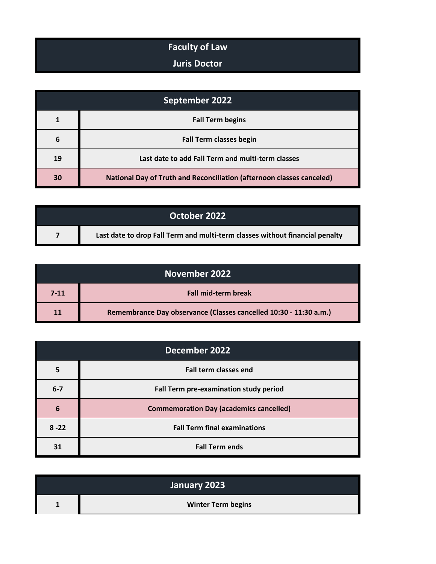## **Faculty of Law**

## **Juris Doctor**

| September 2022 |                                                                              |
|----------------|------------------------------------------------------------------------------|
|                | <b>Fall Term begins</b>                                                      |
| 6              | <b>Fall Term classes begin</b>                                               |
| 19             | Last date to add Fall Term and multi-term classes                            |
| 30             | <b>National Day of Truth and Reconciliation (afternoon classes canceled)</b> |

| October 2022 |                                                                              |
|--------------|------------------------------------------------------------------------------|
|              | Last date to drop Fall Term and multi-term classes without financial penalty |

|      | November 2022                                                     |
|------|-------------------------------------------------------------------|
| 7-11 | <b>Fall mid-term break</b>                                        |
| 11   | Remembrance Day observance (Classes cancelled 10:30 - 11:30 a.m.) |

| December 2022 |                                                |
|---------------|------------------------------------------------|
| 5             | <b>Fall term classes end</b>                   |
| $6 - 7$       | Fall Term pre-examination study period         |
| 6             | <b>Commemoration Day (academics cancelled)</b> |
| $8 - 22$      | <b>Fall Term final examinations</b>            |
| 31            | <b>Fall Term ends</b>                          |

| January 2023 |                           |
|--------------|---------------------------|
|              | <b>Winter Term begins</b> |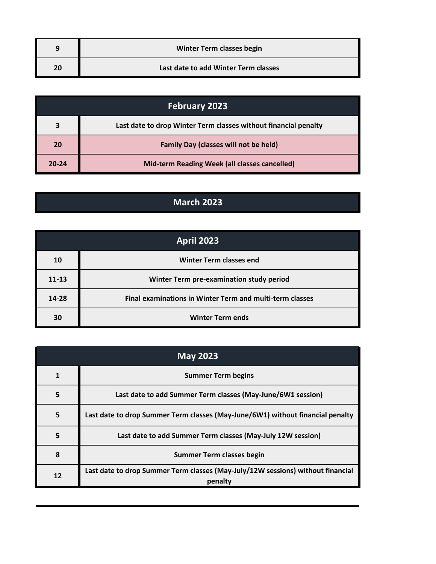|    | Winter Term classes begin            |
|----|--------------------------------------|
| 20 | Last date to add Winter Term classes |

|       | <b>February 2023</b>                                            |
|-------|-----------------------------------------------------------------|
|       | Last date to drop Winter Term classes without financial penalty |
| 20    | <b>Family Day (classes will not be held)</b>                    |
| 20-24 | Mid-term Reading Week (all classes cancelled)                   |

## **March 2023**

| <b>April 2023</b> |                                                          |
|-------------------|----------------------------------------------------------|
| 10                | <b>Winter Term classes end</b>                           |
| $11 - 13$         | Winter Term pre-examination study period                 |
| 14-28             | Final examinations in Winter Term and multi-term classes |
| 30                | <b>Winter Term ends</b>                                  |

| <b>May 2023</b> |                                                                                            |
|-----------------|--------------------------------------------------------------------------------------------|
|                 | <b>Summer Term begins</b>                                                                  |
| 5               | Last date to add Summer Term classes (May-June/6W1 session)                                |
| 5               | Last date to drop Summer Term classes (May-June/6W1) without financial penalty             |
| 5               | Last date to add Summer Term classes (May-July 12W session)                                |
| 8               | <b>Summer Term classes begin</b>                                                           |
| 12              | Last date to drop Summer Term classes (May-July/12W sessions) without financial<br>penalty |